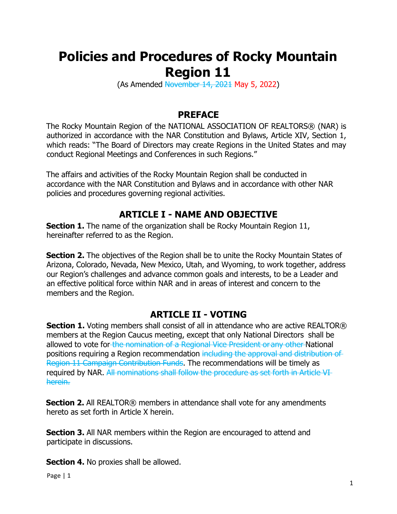# **Policies and Procedures of Rocky Mountain Region 11**

(As Amended November 14, 2021 May 5, 2022)

### **PREFACE**

The Rocky Mountain Region of the NATIONAL ASSOCIATION OF REALTORS® (NAR) is authorized in accordance with the NAR Constitution and Bylaws, Article XIV, Section 1, which reads: "The Board of Directors may create Regions in the United States and may conduct Regional Meetings and Conferences in such Regions."

The affairs and activities of the Rocky Mountain Region shall be conducted in accordance with the NAR Constitution and Bylaws and in accordance with other NAR policies and procedures governing regional activities.

### **ARTICLE I - NAME AND OBJECTIVE**

**Section 1.** The name of the organization shall be Rocky Mountain Region 11, hereinafter referred to as the Region.

**Section 2.** The objectives of the Region shall be to unite the Rocky Mountain States of Arizona, Colorado, Nevada, New Mexico, Utah, and Wyoming, to work together, address our Region's challenges and advance common goals and interests, to be a Leader and an effective political force within NAR and in areas of interest and concern to the members and the Region.

### **ARTICLE II - VOTING**

**Section 1.** Voting members shall consist of all in attendance who are active REALTOR® members at the Region Caucus meeting, except that only National Directors shall be allowed to vote for the nomination of a Regional Vice President or any other National positions requiring a Region recommendation including the approval and distribution of Region 11 Campaign Contribution Funds. The recommendations will be timely as required by NAR. All nominations shall follow the procedure as set forth in Article VIherein.

**Section 2.** All REALTOR® members in attendance shall vote for any amendments hereto as set forth in Article X herein.

**Section 3.** All NAR members within the Region are encouraged to attend and participate in discussions.

**Section 4.** No proxies shall be allowed.

Page | 1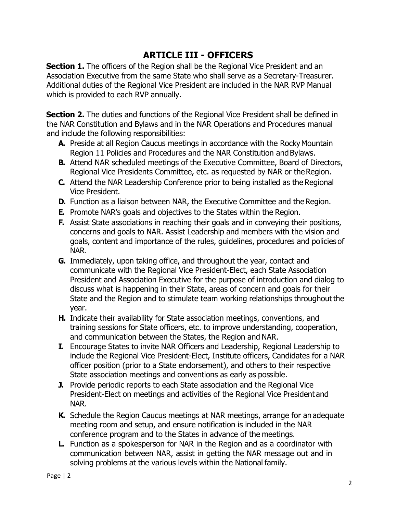# **ARTICLE III - OFFICERS**

**Section 1.** The officers of the Region shall be the Regional Vice President and an Association Executive from the same State who shall serve as a Secretary-Treasurer. Additional duties of the Regional Vice President are included in the NAR RVP Manual which is provided to each RVP annually.

**Section 2.** The duties and functions of the Regional Vice President shall be defined in the NAR Constitution and Bylaws and in the NAR Operations and Procedures manual and include the following responsibilities:

- **A.** Preside at all Region Caucus meetings in accordance with the Rocky Mountain Region 11 Policies and Procedures and the NAR Constitution and Bylaws.
- **B.** Attend NAR scheduled meetings of the Executive Committee, Board of Directors, Regional Vice Presidents Committee, etc. as requested by NAR or theRegion.
- **C.** Attend the NAR Leadership Conference prior to being installed as the Regional Vice President.
- **D.** Function as a liaison between NAR, the Executive Committee and the Region.
- **E.** Promote NAR's goals and objectives to the States within the Region.
- **F.** Assist State associations in reaching their goals and in conveying their positions, concerns and goals to NAR. Assist Leadership and members with the vision and goals, content and importance of the rules, guidelines, procedures and policies of NAR.
- **G.** Immediately, upon taking office, and throughout the year, contact and communicate with the Regional Vice President-Elect, each State Association President and Association Executive for the purpose of introduction and dialog to discuss what is happening in their State, areas of concern and goals for their State and the Region and to stimulate team working relationships throughout the year.
- **H.** Indicate their availability for State association meetings, conventions, and training sessions for State officers, etc. to improve understanding, cooperation, and communication between the States, the Region and NAR.
- **I.** Encourage States to invite NAR Officers and Leadership, Regional Leadership to include the Regional Vice President-Elect, Institute officers, Candidates for a NAR officer position (prior to a State endorsement), and others to their respective State association meetings and conventions as early as possible.
- **J.** Provide periodic reports to each State association and the Regional Vice President-Elect on meetings and activities of the Regional Vice President and NAR.
- **K.** Schedule the Region Caucus meetings at NAR meetings, arrange for an adequate meeting room and setup, and ensure notification is included in the NAR conference program and to the States in advance of the meetings.
- **L.** Function as a spokesperson for NAR in the Region and as a coordinator with communication between NAR, assist in getting the NAR message out and in solving problems at the various levels within the National family.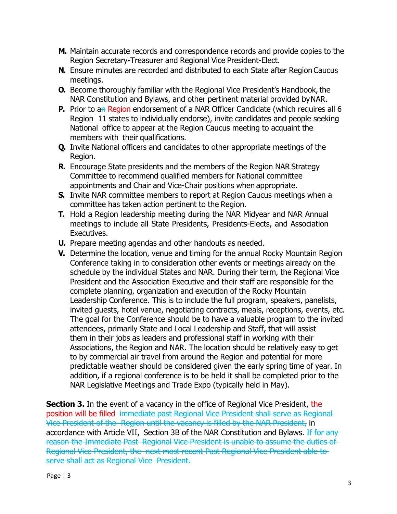- **M.** Maintain accurate records and correspondence records and provide copies to the Region Secretary-Treasurer and Regional Vice President-Elect.
- **N.** Ensure minutes are recorded and distributed to each State after Region Caucus meetings.
- **O.** Become thoroughly familiar with the Regional Vice President's Handbook, the NAR Constitution and Bylaws, and other pertinent material provided byNAR.
- **P.** Prior to an Region endorsement of a NAR Officer Candidate (which requires all 6 Region 11 states to individually endorse), invite candidates and people seeking National office to appear at the Region Caucus meeting to acquaint the members with their qualifications.
- **Q.** Invite National officers and candidates to other appropriate meetings of the Region.
- **R.** Encourage State presidents and the members of the Region NAR Strategy Committee to recommend qualified members for National committee appointments and Chair and Vice-Chair positions when appropriate.
- **S.** Invite NAR committee members to report at Region Caucus meetings when a committee has taken action pertinent to the Region.
- **T.** Hold a Region leadership meeting during the NAR Midyear and NAR Annual meetings to include all State Presidents, Presidents-Elects, and Association Executives.
- **U.** Prepare meeting agendas and other handouts as needed.
- **V.** Determine the location, venue and timing for the annual Rocky Mountain Region Conference taking in to consideration other events or meetings already on the schedule by the individual States and NAR. During their term, the Regional Vice President and the Association Executive and their staff are responsible for the complete planning, organization and execution of the Rocky Mountain Leadership Conference. This is to include the full program, speakers, panelists, invited guests, hotel venue, negotiating contracts, meals, receptions, events, etc. The goal for the Conference should be to have a valuable program to the invited attendees, primarily State and Local Leadership and Staff, that will assist them in their jobs as leaders and professional staff in working with their Associations, the Region and NAR. The location should be relatively easy to get to by commercial air travel from around the Region and potential for more predictable weather should be considered given the early spring time of year. In addition, if a regional conference is to be held it shall be completed prior to the NAR Legislative Meetings and Trade Expo (typically held in May).

**Section 3.** In the event of a vacancy in the office of Regional Vice President, the position will be filled immediate past Regional Vice President shall serve as Regional Vice President of the Region until the vacancy is filled by the NAR President, in accordance with Article VII, Section 3B of the NAR Constitution and Bylaws. If for any reason the Immediate Past Regional Vice President is unable to assume the duties of Regional Vice President, the next most recent Past Regional Vice President able to serve shall act as Regional Vice President.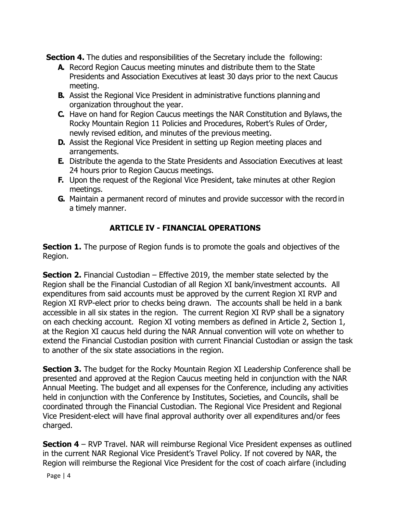**Section 4.** The duties and responsibilities of the Secretary include the following:

- **A.** Record Region Caucus meeting minutes and distribute them to the State Presidents and Association Executives at least 30 days prior to the next Caucus meeting.
- **B.** Assist the Regional Vice President in administrative functions planning and organization throughout the year.
- **C.** Have on hand for Region Caucus meetings the NAR Constitution and Bylaws, the Rocky Mountain Region 11 Policies and Procedures, Robert's Rules of Order, newly revised edition, and minutes of the previous meeting.
- **D.** Assist the Regional Vice President in setting up Region meeting places and arrangements.
- **E.** Distribute the agenda to the State Presidents and Association Executives at least 24 hours prior to Region Caucus meetings.
- **F.** Upon the request of the Regional Vice President, take minutes at other Region meetings.
- **G.** Maintain a permanent record of minutes and provide successor with the record in a timely manner.

### **ARTICLE IV - FINANCIAL OPERATIONS**

**Section 1.** The purpose of Region funds is to promote the goals and objectives of the Region.

**Section 2.** Financial Custodian – Effective 2019, the member state selected by the Region shall be the Financial Custodian of all Region XI bank/investment accounts. All expenditures from said accounts must be approved by the current Region XI RVP and Region XI RVP-elect prior to checks being drawn. The accounts shall be held in a bank accessible in all six states in the region. The current Region XI RVP shall be a signatory on each checking account. Region XI voting members as defined in Article 2, Section 1, at the Region XI caucus held during the NAR Annual convention will vote on whether to extend the Financial Custodian position with current Financial Custodian or assign the task to another of the six state associations in the region.

**Section 3.** The budget for the Rocky Mountain Region XI Leadership Conference shall be presented and approved at the Region Caucus meeting held in conjunction with the NAR Annual Meeting. The budget and all expenses for the Conference, including any activities held in conjunction with the Conference by Institutes, Societies, and Councils, shall be coordinated through the Financial Custodian. The Regional Vice President and Regional Vice President-elect will have final approval authority over all expenditures and/or fees charged.

**Section 4** – RVP Travel. NAR will reimburse Regional Vice President expenses as outlined in the current NAR Regional Vice President's Travel Policy. If not covered by NAR, the Region will reimburse the Regional Vice President for the cost of coach airfare (including

Page | 4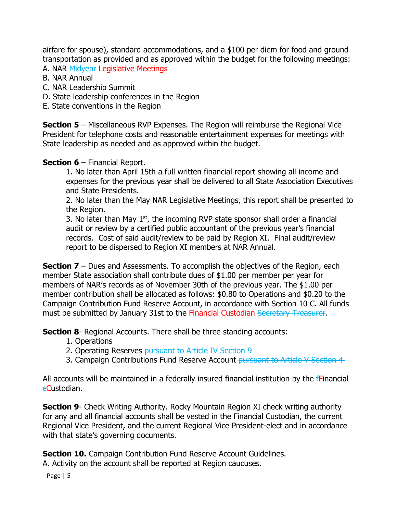airfare for spouse), standard accommodations, and a \$100 per diem for food and ground transportation as provided and as approved within the budget for the following meetings:

A. NAR Midyear Legislative Meetings

B. NAR Annual

- C. NAR Leadership Summit
- D. State leadership conferences in the Region
- E. State conventions in the Region

**Section 5** – Miscellaneous RVP Expenses. The Region will reimburse the Regional Vice President for telephone costs and reasonable entertainment expenses for meetings with State leadership as needed and as approved within the budget.

#### **Section 6** – Financial Report.

1. No later than April 15th a full written financial report showing all income and expenses for the previous year shall be delivered to all State Association Executives and State Presidents.

2. No later than the May NAR Legislative Meetings, this report shall be presented to the Region.

3. No later than May  $1<sup>st</sup>$ , the incoming RVP state sponsor shall order a financial audit or review by a certified public accountant of the previous year's financial records. Cost of said audit/review to be paid by Region XI. Final audit/review report to be dispersed to Region XI members at NAR Annual.

**Section 7** – Dues and Assessments. To accomplish the objectives of the Region, each member State association shall contribute dues of \$1.00 per member per year for members of NAR's records as of November 30th of the previous year. The \$1.00 per member contribution shall be allocated as follows: \$0.80 to Operations and \$0.20 to the Campaign Contribution Fund Reserve Account, in accordance with Section 10 C. All funds must be submitted by January 31st to the Financial Custodian Secretary-Treasurer.

**Section 8-** Regional Accounts. There shall be three standing accounts:

- 1. Operations
- 2. Operating Reserves <del>pursuant to Article IV Section 9</del>
- 3. Campaign Contributions Fund Reserve Account pursuant to Article V Section 4

All accounts will be maintained in a federally insured financial institution by the *F*Financial eCustodian.

**Section 9**- Check Writing Authority. Rocky Mountain Region XI check writing authority for any and all financial accounts shall be vested in the Financial Custodian, the current Regional Vice President, and the current Regional Vice President-elect and in accordance with that state's governing documents.

**Section 10.** Campaign Contribution Fund Reserve Account Guidelines.

A. Activity on the account shall be reported at Region caucuses.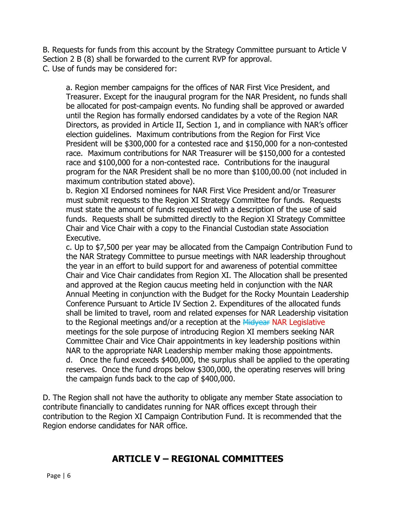B. Requests for funds from this account by the Strategy Committee pursuant to Article V Section 2 B (8) shall be forwarded to the current RVP for approval. C. Use of funds may be considered for:

a. Region member campaigns for the offices of NAR First Vice President, and Treasurer. Except for the inaugural program for the NAR President, no funds shall be allocated for post-campaign events. No funding shall be approved or awarded until the Region has formally endorsed candidates by a vote of the Region NAR Directors, as provided in Article II, Section 1, and in compliance with NAR's officer election guidelines. Maximum contributions from the Region for First Vice President will be \$300,000 for a contested race and \$150,000 for a non-contested race. Maximum contributions for NAR Treasurer will be \$150,000 for a contested race and \$100,000 for a non-contested race. Contributions for the inaugural program for the NAR President shall be no more than \$100,00.00 (not included in maximum contribution stated above).

b. Region XI Endorsed nominees for NAR First Vice President and/or Treasurer must submit requests to the Region XI Strategy Committee for funds. Requests must state the amount of funds requested with a description of the use of said funds. Requests shall be submitted directly to the Region XI Strategy Committee Chair and Vice Chair with a copy to the Financial Custodian state Association Executive.

c. Up to \$7,500 per year may be allocated from the Campaign Contribution Fund to the NAR Strategy Committee to pursue meetings with NAR leadership throughout the year in an effort to build support for and awareness of potential committee Chair and Vice Chair candidates from Region XI. The Allocation shall be presented and approved at the Region caucus meeting held in conjunction with the NAR Annual Meeting in conjunction with the Budget for the Rocky Mountain Leadership Conference Pursuant to Article IV Section 2. Expenditures of the allocated funds shall be limited to travel, room and related expenses for NAR Leadership visitation to the Regional meetings and/or a reception at the Midvear NAR Legislative meetings for the sole purpose of introducing Region XI members seeking NAR Committee Chair and Vice Chair appointments in key leadership positions within NAR to the appropriate NAR Leadership member making those appointments. d. Once the fund exceeds \$400,000, the surplus shall be applied to the operating reserves. Once the fund drops below \$300,000, the operating reserves will bring the campaign funds back to the cap of \$400,000.

D. The Region shall not have the authority to obligate any member State association to contribute financially to candidates running for NAR offices except through their contribution to the Region XI Campaign Contribution Fund. It is recommended that the Region endorse candidates for NAR office.

# **ARTICLE V – REGIONAL COMMITTEES**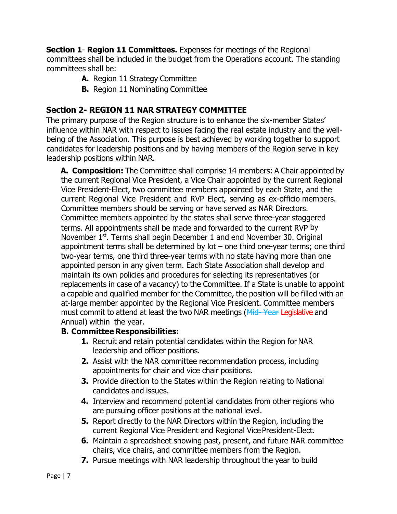**Section 1**- **Region 11 Committees.** Expenses for meetings of the Regional committees shall be included in the budget from the Operations account. The standing committees shall be:

- **A.** Region 11 Strategy Committee
- **B.** Region 11 Nominating Committee

### **Section 2- REGION 11 NAR STRATEGY COMMITTEE**

The primary purpose of the Region structure is to enhance the six-member States' influence within NAR with respect to issues facing the real estate industry and the wellbeing of the Association. This purpose is best achieved by working together to support candidates for leadership positions and by having members of the Region serve in key leadership positions within NAR.

**A. Composition:** The Committee shall comprise 14 members: A Chair appointed by the current Regional Vice President, a Vice Chair appointed by the current Regional Vice President-Elect, two committee members appointed by each State, and the current Regional Vice President and RVP Elect, serving as ex-officio members. Committee members should be serving or have served as NAR Directors. Committee members appointed by the states shall serve three-year staggered terms. All appointments shall be made and forwarded to the current RVP by November 1<sup>st</sup>. Terms shall begin December 1 and end November 30. Original appointment terms shall be determined by lot – one third one-year terms; one third two-year terms, one third three-year terms with no state having more than one appointed person in any given term. Each State Association shall develop and maintain its own policies and procedures for selecting its representatives (or replacements in case of a vacancy) to the Committee. If a State is unable to appoint a capable and qualified member for the Committee, the position will be filled with an at-large member appointed by the Regional Vice President. Committee members must commit to attend at least the two NAR meetings (Mid-Year Legislative and Annual) within the year.

#### **B. Committee Responsibilities:**

- **1.** Recruit and retain potential candidates within the Region for NAR leadership and officer positions.
- **2.** Assist with the NAR committee recommendation process, including appointments for chair and vice chair positions.
- **3.** Provide direction to the States within the Region relating to National candidates and issues.
- **4.** Interview and recommend potential candidates from other regions who are pursuing officer positions at the national level.
- **5.** Report directly to the NAR Directors within the Region, including the current Regional Vice President and Regional Vice President-Elect.
- **6.** Maintain a spreadsheet showing past, present, and future NAR committee chairs, vice chairs, and committee members from the Region.
- **7.** Pursue meetings with NAR leadership throughout the year to build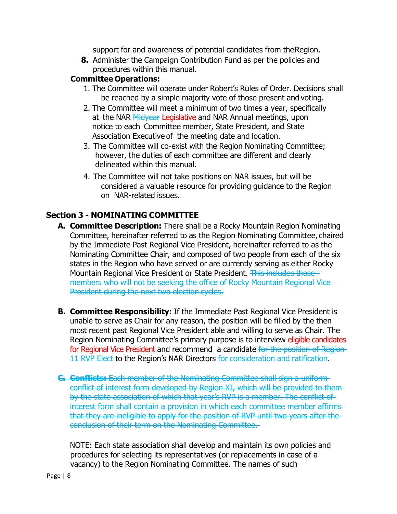support for and awareness of potential candidates from theRegion.

**8.** Administer the Campaign Contribution Fund as per the policies and procedures within this manual.

#### **Committee Operations:**

- 1. The Committee will operate under Robert's Rules of Order. Decisions shall be reached by a simple majority vote of those present and voting.
- 2. The Committee will meet a minimum of two times a year, specifically at the NAR Midvear Legislative and NAR Annual meetings, upon notice to each Committee member, State President, and State Association Executive of the meeting date and location.
- 3. The Committee will co-exist with the Region Nominating Committee; however, the duties of each committee are different and clearly delineated within this manual.
- 4. The Committee will not take positions on NAR issues, but will be considered a valuable resource for providing guidance to the Region on NAR-related issues.

#### **Section 3 - NOMINATING COMMITTEE**

- **A. Committee Description:** There shall be a Rocky Mountain Region Nominating Committee, hereinafter referred to as the Region Nominating Committee, chaired by the Immediate Past Regional Vice President, hereinafter referred to as the Nominating Committee Chair, and composed of two people from each of the six states in the Region who have served or are currently serving as either Rocky Mountain Regional Vice President or State President. This includes those members who will not be seeking the office of Rocky Mountain Regional Vice President during the next two election cycles.
- **B. Committee Responsibility:** If the Immediate Past Regional Vice President is unable to serve as Chair for any reason, the position will be filled by the then most recent past Regional Vice President able and willing to serve as Chair. The Region Nominating Committee's primary purpose is to interview eligible candidates for Regional Vice President and recommend a candidate for the position of Region-11 RVP Elect to the Region's NAR Directors for consideration and ratification.
- **C.** Conflicts: Each member of the Nominating Committee shall sign a conflict of interest form developed by Region XI, which will be by the state association of which that year's RVP is a member. The interest form shall contain a provision in which each committee meml that they are ineligible to apply for the position of RVP until two ye conclusion of their term on the Nominating Committee.

NOTE: Each state association shall develop and maintain its own policies and procedures for selecting its representatives (or replacements in case of a vacancy) to the Region Nominating Committee. The names of such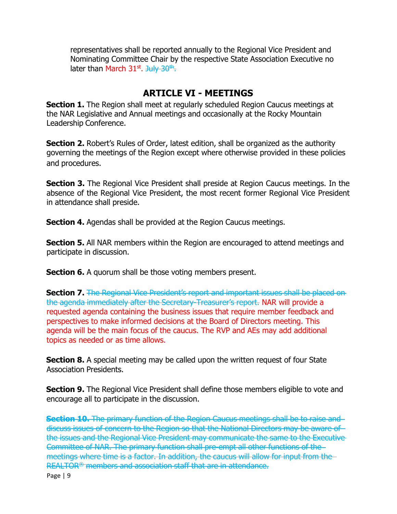representatives shall be reported annually to the Regional Vice President and Nominating Committee Chair by the respective State Association Executive no later than March 31st. July 30th.

# **ARTICLE VI - MEETINGS**

**Section 1.** The Region shall meet at regularly scheduled Region Caucus meetings at the NAR Legislative and Annual meetings and occasionally at the Rocky Mountain Leadership Conference.

**Section 2.** Robert's Rules of Order, latest edition, shall be organized as the authority governing the meetings of the Region except where otherwise provided in these policies and procedures.

**Section 3.** The Regional Vice President shall preside at Region Caucus meetings. In the absence of the Regional Vice President, the most recent former Regional Vice President in attendance shall preside.

**Section 4.** Agendas shall be provided at the Region Caucus meetings.

**Section 5.** All NAR members within the Region are encouraged to attend meetings and participate in discussion.

**Section 6.** A quorum shall be those voting members present.

**Section 7.** The Regional Vice President's report and important issues shall be placed on the agenda immediately after the Secretary-Treasurer's report. NAR will provide a requested agenda containing the business issues that require member feedback and perspectives to make informed decisions at the Board of Directors meeting. This agenda will be the main focus of the caucus. The RVP and AEs may add additional topics as needed or as time allows.

**Section 8.** A special meeting may be called upon the written request of four State Association Presidents.

**Section 9.** The Regional Vice President shall define those members eligible to vote and encourage all to participate in the discussion.

**Section 10.** The primary function of the Region Caucus meetings shall be to raise discuss issues of concern to the Region so that the National Directors may be aware of the issues and the Regional Vice President may communicate the same to the Executive Committee of NAR. The primary function shall pre-empt all other functions of the meetings where time is a factor. In addition, the caucus will allow for input from the REALTOR® members and association staff that are in attendance.

Page | 9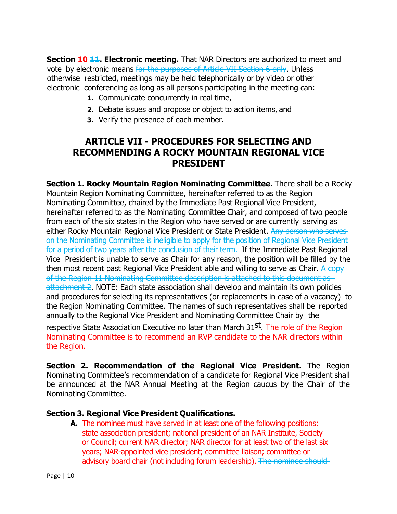**Section 10 <del>11</del>. Electronic meeting.** That NAR Directors are authorized to meet and vote by electronic means for the purposes of Article VII Section 6 only. Unless otherwise restricted, meetings may be held telephonically or by video or other electronic conferencing as long as all persons participating in the meeting can:

- **1.** Communicate concurrently in real time,
- **2.** Debate issues and propose or object to action items, and
- **3.** Verify the presence of each member.

# **ARTICLE VII - PROCEDURES FOR SELECTING AND RECOMMENDING A ROCKY MOUNTAIN REGIONAL VICE PRESIDENT**

**Section 1. Rocky Mountain Region Nominating Committee.** There shall be a Rocky Mountain Region Nominating Committee, hereinafter referred to as the Region Nominating Committee, chaired by the Immediate Past Regional Vice President, hereinafter referred to as the Nominating Committee Chair, and composed of two people from each of the six states in the Region who have served or are currently serving as either Rocky Mountain Regional Vice President or State President. Any person who serveson the Nominating Committee is ineligible to apply for the position of Regional Vice Presidentfor a period of two years after the conclusion of their term. If the Immediate Past Regional Vice President is unable to serve as Chair for any reason, the position will be filled by the then most recent past Regional Vice President able and willing to serve as Chair. A copy of the Region 11 Nominating Committee description is attached to this document as attachment 2. NOTE: Each state association shall develop and maintain its own policies and procedures for selecting its representatives (or replacements in case of a vacancy) to the Region Nominating Committee. The names of such representatives shall be reported annually to the Regional Vice President and Nominating Committee Chair by the

respective State Association Executive no later than March 31st. The role of the Region Nominating Committee is to recommend an RVP candidate to the NAR directors within the Region.

**Section 2. Recommendation of the Regional Vice President.** The Region Nominating Committee's recommendation of a candidate for Regional Vice President shall be announced at the NAR Annual Meeting at the Region caucus by the Chair of the Nominating Committee.

#### **Section 3. Regional Vice President Qualifications.**

**A.** The nominee must have served in at least one of the following positions: state association president; national president of an NAR Institute, Society or Council; current NAR director; NAR director for at least two of the last six years; NAR-appointed vice president; committee liaison; committee or advisory board chair (not including forum leadership). The nominee should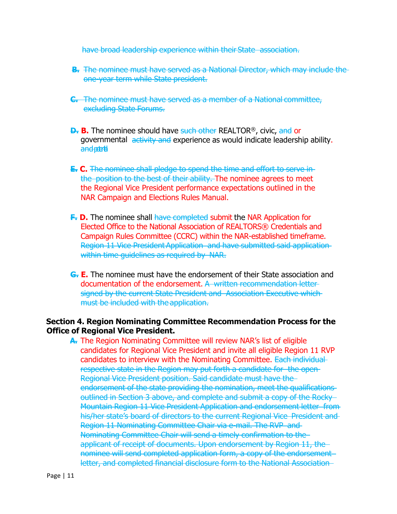have broad leadership experience within their State association.

- **B.** The nominee must have served as a National Director, which may include the one-year term while State president.
- **C.** The nominee must have served as a member of a National committee, excluding State Forums.
- **D. B.** The nominee should have such other REALTOR<sup>®</sup>, civic, and or governmental activity and experience as would indicate leadership ability. andpoteti
- **E. C.** The nominee shall pledge to spend the time and effort to serve in the position to the best of their ability. The nominee agrees to meet the Regional Vice President performance expectations outlined in the NAR Campaign and Elections Rules Manual.
- **F. D.** The nominee shall have completed submit the NAR Application for Elected Office to the National Association of REALTORS® Credentials and Campaign Rules Committee (CCRC) within the NAR-established timeframe. Region 11 Vice President Application and have submitted said application within time quidelines as required by NAR.
- **G. E.** The nominee must have the endorsement of their State association and documentation of the endorsement. A written recommendation letter signed by the current State President and Association Executive whichmust be included with the application.

#### **Section 4. Region Nominating Committee Recommendation Process for the Office of Regional Vice President.**

**A.** The Region Nominating Committee will review NAR's list of eligible candidates for Regional Vice President and invite all eligible Region 11 RVP candidates to interview with the Nominating Committee. Each individual respective state in the Region may put forth a candidate for the open Regional Vice President position. Said candidate must have the endorsement of the state providing the nomination, meet the qualifications outlined in Section 3 above, and complete and submit a copy of the Rocky Mountain Region 11 Vice President Application and endorsement letter from his/her state's board of directors to the current Regional Vice President and Region 11 Nominating Committee Chair via e-mail. The RVP and Nominating Committee Chair will send a timely confirmation to the applicant of receipt of documents. Upon endorsement by Region 11, the nominee will send completed application form, a copy of the endorsement letter, and completed financial disclosure form to the National Association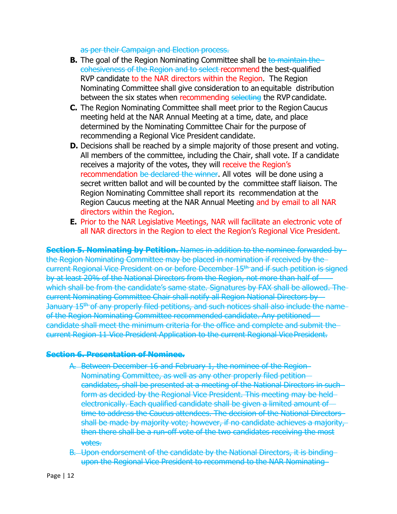as per their Campaign and Election process.

- **B.** The goal of the Region Nominating Committee shall be to maintain the cohesiveness of the Region and to select recommend the best-qualified RVP candidate to the NAR directors within the Region. The Region Nominating Committee shall give consideration to an equitable distribution between the six states when recommending selecting the RVP candidate.
- **C.** The Region Nominating Committee shall meet prior to the Region Caucus meeting held at the NAR Annual Meeting at a time, date, and place determined by the Nominating Committee Chair for the purpose of recommending a Regional Vice President candidate.
- **D.** Decisions shall be reached by a simple majority of those present and voting. All members of the committee, including the Chair, shall vote. If a candidate receives a majority of the votes, they will receive the Region's recommendation be declared the winner. All votes will be done using a secret written ballot and will be counted by the committee staff liaison. The Region Nominating Committee shall report its recommendation at the Region Caucus meeting at the NAR Annual Meeting and by email to all NAR directors within the Region.
- **E.** Prior to the NAR Legislative Meetings, NAR will facilitate an electronic vote of all NAR directors in the Region to elect the Region's Regional Vice President.

**Section 5. Nominating by Petition.** Names in addition to the nominee forwarded by the Region Nominating Committee may be placed in nomination if received by the current Regional Vice President on or before December 15<sup>th</sup> and if such petition is signed by at least 20% of the National Directors from the Region, not more than half of which shall be from the candidate's same state. Signatures by FAX shall be allowed. The current Nominating Committee Chair shall notify all Region National Directors by January 15<sup>th</sup> of any properly filed petitions, and such notices shall also in of the Region Nominating Committee recommended candidate. Any petitioned candidate shall meet the minimum criteria for the office and complete and submit the current Region 11 Vice President Application to the current Regional VicePresident.

#### **Section 6. Presentation of Nominee.**

- A. Between December 16 and February 1, the nominee Nominating Committee, as well as any other properly filed candidates, shall be presented at a meeting of the National Directors in such a as decided by the Regional Vice President. This meeting electronically. Each qualified candidate shall be given a limit to address the Caucus attendees. The decision of the shall be made by majority vote; however, if no candidate achieves a majority, then there shall be a run-off vote of the two candidates receiving the most votes.
- B. Upon endorsement of the candidate by the National Directors, it is binding upon the Regional Vice President to recommend to the NAR Nominating